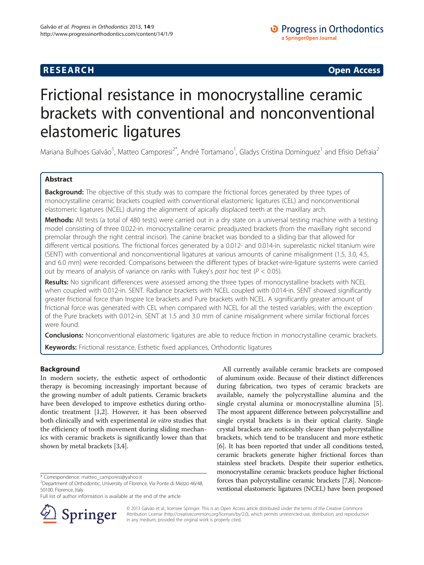# **RESEARCH CHINESEARCH CHINESEARCH CHINESE**

# Frictional resistance in monocrystalline ceramic brackets with conventional and nonconventional elastomeric ligatures

Mariana Bulhoes Galvão<sup>1</sup>, Matteo Camporesi<sup>2\*</sup>, André Tortamano<sup>1</sup>, Gladys Cristina Dominguez<sup>1</sup> and Efisio Defraia<sup>2</sup>

# Abstract

**Background:** The objective of this study was to compare the frictional forces generated by three types of monocrystalline ceramic brackets coupled with conventional elastomeric ligatures (CEL) and nonconventional elastomeric ligatures (NCEL) during the alignment of apically displaced teeth at the maxillary arch.

Methods: All tests (a total of 480 tests) were carried out in a dry state on a universal testing machine with a testing model consisting of three 0.022-in. monocrystalline ceramic preadjusted brackets (from the maxillary right second premolar through the right central incisor). The canine bracket was bonded to a sliding bar that allowed for different vertical positions. The frictional forces generated by a 0.012- and 0.014-in. superelastic nickel titanium wire (SENT) with conventional and nonconventional ligatures at various amounts of canine misalignment (1.5, 3.0, 4.5, and 6.0 mm) were recorded. Comparisons between the different types of bracket-wire-ligature systems were carried out by means of analysis of variance on ranks with Tukey's post hoc test ( $P < 0.05$ ).

Results: No significant differences were assessed among the three types of monocrystalline brackets with NCEL when coupled with 0.012-in. SENT. Radiance brackets with NCEL coupled with 0.014-in. SENT showed significantly greater frictional force than Inspire Ice brackets and Pure brackets with NCEL. A significantly greater amount of frictional force was generated with CEL when compared with NCEL for all the tested variables, with the exception of the Pure brackets with 0.012-in. SENT at 1.5 and 3.0 mm of canine misalignment where similar frictional forces were found.

**Conclusions:** Nonconventional elastomeric ligatures are able to reduce friction in monocrystalline ceramic brackets.

Keywords: Frictional resistance, Esthetic fixed appliances, Orthodontic ligatures

# Background

In modern society, the esthetic aspect of orthodontic therapy is becoming increasingly important because of the growing number of adult patients. Ceramic brackets have been developed to improve esthetics during orthodontic treatment [[1](#page-5-0),[2\]](#page-5-0). However, it has been observed both clinically and with experimental in vitro studies that the efficiency of tooth movement during sliding mechanics with ceramic brackets is significantly lower than that shown by metal brackets [\[3,4](#page-5-0)].

Full list of author information is available at the end of the article



All currently available ceramic brackets are composed of aluminum oxide. Because of their distinct differences during fabrication, two types of ceramic brackets are available, namely the polycrystalline alumina and the single crystal alumina or monocrystalline alumina [\[5](#page-5-0)]. The most apparent difference between polycrystalline and single crystal brackets is in their optical clarity. Single crystal brackets are noticeably clearer than polycrystalline brackets, which tend to be translucent and more esthetic [[6\]](#page-5-0). It has been reported that under all conditions tested, ceramic brackets generate higher frictional forces than stainless steel brackets. Despite their superior esthetics, monocrystalline ceramic brackets produce higher frictional forces than polycrystalline ceramic brackets [[7,8](#page-5-0)]. Nonconventional elastomeric ligatures (NCEL) have been proposed

© 2013 Galvão et al.; licensee Springer. This is an Open Access article distributed under the terms of the Creative Commons Attribution License [\(http://creativecommons.org/licenses/by/2.0\)](http://creativecommons.org/licenses/by/2.0), which permits unrestricted use, distribution, and reproduction in any medium, provided the original work is properly cited.

<sup>\*</sup> Correspondence: [matteo\\_camporesi@yahoo.it](mailto:matteo_camporesi@yahoo.it) <sup>2</sup>

 $2$ Department of Orthodontic, University of Florence, Via Ponte di Mezzo 46/48, 50100, Florence, Italy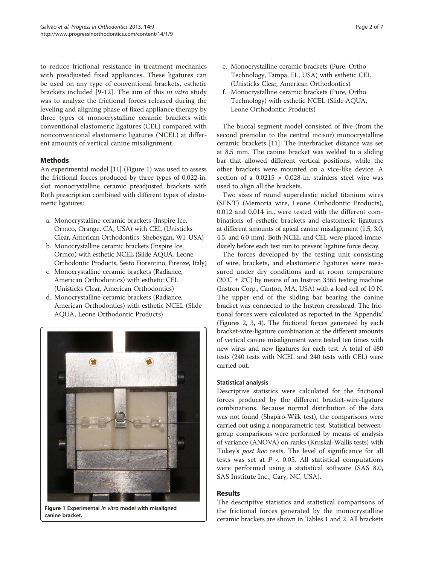to reduce frictional resistance in treatment mechanics with preadjusted fixed appliances. These ligatures can be used on any type of conventional brackets, esthetic brackets included [\[9](#page-5-0)-[12](#page-5-0)]. The aim of this in vitro study was to analyze the frictional forces released during the leveling and aligning phase of fixed appliance therapy by three types of monocrystalline ceramic brackets with conventional elastomeric ligatures (CEL) compared with nonconventional elastomeric ligatures (NCEL) at different amounts of vertical canine misalignment.

# Methods

An experimental model [\[11\]](#page-5-0) (Figure 1) was used to assess the frictional forces produced by three types of 0.022-in. slot monocrystalline ceramic preadjusted brackets with Roth prescription combined with different types of elastomeric ligatures:

- a. Monocrystalline ceramic brackets (Inspire Ice, Ormco, Orange, CA, USA) with CEL (Unisticks Clear, American Orthodontics, Sheboygan, WI, USA)
- b. Monocrystalline ceramic brackets (Inspire Ice, Ormco) with esthetic NCEL (Slide AQUA, Leone Orthodontic Products, Sesto Fiorentino, Firenze, Italy)
- c. Monocrystalline ceramic brackets (Radiance, American Orthodontics) with esthetic CEL (Unisticks Clear, American Orthodontics)
- d. Monocrystalline ceramic brackets (Radiance, American Orthodontics) with esthetic NCEL (Slide AQUA, Leone Orthodontic Products)



Figure 1 Experimental in vitro model with misaligned canine bracket.

- e. Monocrystalline ceramic brackets (Pure, Ortho Technology, Tampa, FL, USA) with esthetic CEL (Unisticks Clear, American Orthodontics)
- f. Monocrystalline ceramic brackets (Pure, Ortho Technology) with esthetic NCEL (Slide AQUA, Leone Orthodontic Products)

The buccal segment model consisted of five (from the second premolar to the central incisor) monocrystalline ceramic brackets [[11\]](#page-5-0). The interbracket distance was set at 8.5 mm. The canine bracket was welded to a sliding bar that allowed different vertical positions, while the other brackets were mounted on a vice-like device. A section of a  $0.0215 \times 0.028$ -in. stainless steel wire was used to align all the brackets.

Two sizes of round superelastic nickel titanium wires (SENT) (Memoria wire, Leone Orthodontic Products), 0.012 and 0.014 in., were tested with the different combinations of esthetic brackets and elastomeric ligatures at different amounts of apical canine misalignment (1.5, 3.0, 4.5, and 6.0 mm). Both NCEL and CEL were placed immediately before each test run to prevent ligature force decay.

The forces developed by the testing unit consisting of wire, brackets, and elastomeric ligatures were measured under dry conditions and at room temperature  $(20^{\circ}C \pm 2^{\circ}C)$  by means of an Instron 3365 testing machine (Instron Corp., Canton, MA, USA) with a load cell of 10 N. The upper end of the sliding bar bearing the canine bracket was connected to the Instron crosshead. The frictional forces were calculated as reported in the 'Appendix' (Figures [2](#page-2-0), [3](#page-2-0), [4](#page-2-0)). The frictional forces generated by each bracket-wire-ligature combination at the different amounts of vertical canine misalignment were tested ten times with new wires and new ligatures for each test. A total of 480 tests (240 tests with NCEL and 240 tests with CEL) were carried out.

## Statistical analysis

Descriptive statistics were calculated for the frictional forces produced by the different bracket-wire-ligature combinations. Because normal distribution of the data was not found (Shapiro-Wilk test), the comparisons were carried out using a nonparametric test. Statistical betweengroup comparisons were performed by means of analysis of variance (ANOVA) on ranks (Kruskal-Wallis tests) with Tukey's post hoc tests. The level of significance for all tests was set at  $P < 0.05$ . All statistical computations were performed using a statistical software (SAS 8.0, SAS Institute Inc., Cary, NC, USA).

# Results

The descriptive statistics and statistical comparisons of the frictional forces generated by the monocrystalline ceramic brackets are shown in Tables [1](#page-3-0) and [2](#page-4-0). All brackets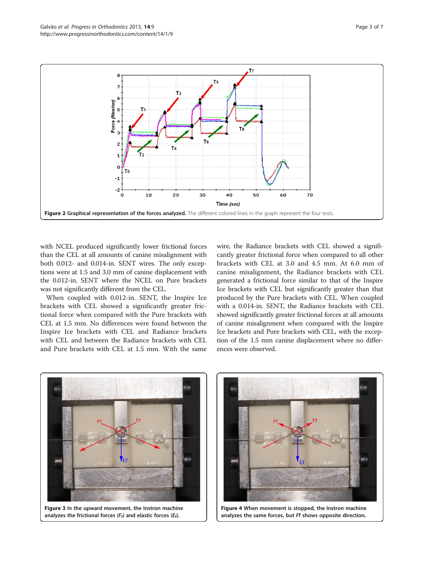<span id="page-2-0"></span>

with NCEL produced significantly lower frictional forces than the CEL at all amounts of canine misalignment with both 0.012- and 0.014-in. SENT wires. The only exceptions were at 1.5 and 3.0 mm of canine displacement with the 0.012-in. SENT where the NCEL on Pure brackets was not significantly different from the CEL.

When coupled with 0.012-in. SENT, the Inspire Ice brackets with CEL showed a significantly greater frictional force when compared with the Pure brackets with CEL at 1.5 mm. No differences were found between the Inspire Ice brackets with CEL and Radiance brackets with CEL and between the Radiance brackets with CEL and Pure brackets with CEL at 1.5 mm. With the same wire, the Radiance brackets with CEL showed a significantly greater frictional force when compared to all other brackets with CEL at 3.0 and 4.5 mm. At 6.0 mm of canine misalignment, the Radiance brackets with CEL generated a frictional force similar to that of the Inspire Ice brackets with CEL but significantly greater than that produced by the Pure brackets with CEL. When coupled with a 0.014-in. SENT, the Radiance brackets with CEL showed significantly greater frictional forces at all amounts of canine misalignment when compared with the Inspire Ice brackets and Pure brackets with CEL, with the exception of the 1.5 mm canine displacement where no differences were observed.



Figure 3 In the upward movement, the Instron machine analyzes the frictional forces ( $F_f$ ) and elastic forces ( $E_f$ ).



Figure 4 When movement is stopped, the Instron machine analyzes the same forces, but Ff shows opposite direction.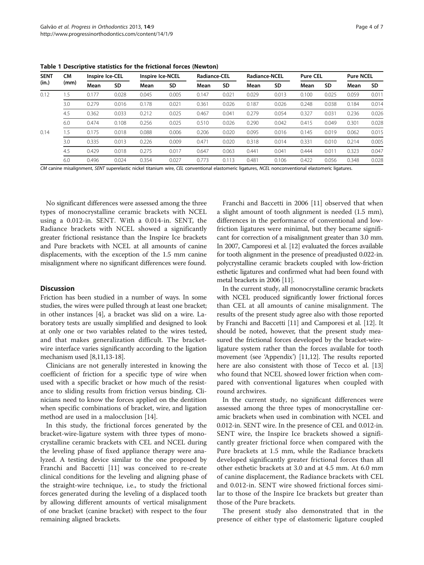| <b>SENT</b><br>(in.) | <b>CM</b><br>(mm) | Inspire Ice-CEL |           | <b>Inspire Ice-NCEL</b> |       | <b>Radiance-CEL</b> |           | <b>Radiance-NCEL</b> |       | <b>Pure CEL</b> |           | <b>Pure NCEL</b> |       |
|----------------------|-------------------|-----------------|-----------|-------------------------|-------|---------------------|-----------|----------------------|-------|-----------------|-----------|------------------|-------|
|                      |                   | Mean            | <b>SD</b> | Mean                    | SD    | Mean                | <b>SD</b> | Mean                 | SD    | Mean            | <b>SD</b> | Mean             | SD    |
| 0.12                 | .5                | 0.177           | 0.028     | 0.045                   | 0.005 | 0.147               | 0.021     | 0.029                | 0.013 | 0.100           | 0.025     | 0.059            | 0.011 |
|                      | 3.0               | 0.279           | 0.016     | 0.178                   | 0.021 | 0.361               | 0.026     | 0.187                | 0.026 | 0.248           | 0.038     | 0.184            | 0.014 |
|                      | 4.5               | 0.362           | 0.033     | 0.212                   | 0.025 | 0.467               | 0.041     | 0.279                | 0.054 | 0.327           | 0.031     | 0.236            | 0.026 |
|                      | 6.0               | 0.474           | 0.108     | 0.256                   | 0.025 | 0.510               | 0.026     | 0.290                | 0.042 | 0.415           | 0.049     | 0.301            | 0.028 |
| 0.14                 | 1.5               | 0.175           | 0.018     | 0.088                   | 0.006 | 0.206               | 0.020     | 0.095                | 0.016 | 0.145           | 0.019     | 0.062            | 0.015 |
|                      | 3.0               | 0.335           | 0.013     | 0.226                   | 0.009 | 0.471               | 0.020     | 0.318                | 0.014 | 0.331           | 0.010     | 0.214            | 0.005 |
|                      | 4.5               | 0.429           | 0.018     | 0.275                   | 0.017 | 0.647               | 0.063     | 0.441                | 0.041 | 0.444           | 0.011     | 0.323            | 0.047 |
|                      | 6.0               | 0.496           | 0.024     | 0.354                   | 0.027 | 0.773               | 0.113     | 0.481                | 0.106 | 0.422           | 0.056     | 0.348            | 0.028 |

<span id="page-3-0"></span>Table 1 Descriptive statistics for the frictional forces (Newton)

CM canine misalignment, SENT superelastic nickel titanium wire, CEL conventional elastomeric ligatures, NCEL nonconventional elastomeric ligatures.

No significant differences were assessed among the three types of monocrystalline ceramic brackets with NCEL using a 0.012-in. SENT. With a 0.014-in. SENT, the Radiance brackets with NCEL showed a significantly greater frictional resistance than the Inspire Ice brackets and Pure brackets with NCEL at all amounts of canine displacements, with the exception of the 1.5 mm canine misalignment where no significant differences were found.

#### **Discussion**

Friction has been studied in a number of ways. In some studies, the wires were pulled through at least one bracket; in other instances [[4\]](#page-5-0), a bracket was slid on a wire. Laboratory tests are usually simplified and designed to look at only one or two variables related to the wires tested, and that makes generalization difficult. The bracketwire interface varies significantly according to the ligation mechanism used [\[8,11,](#page-5-0)[13-18\]](#page-6-0).

Clinicians are not generally interested in knowing the coefficient of friction for a specific type of wire when used with a specific bracket or how much of the resistance to sliding results from friction versus binding. Clinicians need to know the forces applied on the dentition when specific combinations of bracket, wire, and ligation method are used in a malocclusion [\[14](#page-6-0)].

In this study, the frictional forces generated by the bracket-wire-ligature system with three types of monocrystalline ceramic brackets with CEL and NCEL during the leveling phase of fixed appliance therapy were analyzed. A testing device similar to the one proposed by Franchi and Baccetti [\[11\]](#page-5-0) was conceived to re-create clinical conditions for the leveling and aligning phase of the straight-wire technique, i.e., to study the frictional forces generated during the leveling of a displaced tooth by allowing different amounts of vertical misalignment of one bracket (canine bracket) with respect to the four remaining aligned brackets.

Franchi and Baccetti in 2006 [\[11\]](#page-5-0) observed that when a slight amount of tooth alignment is needed (1.5 mm), differences in the performance of conventional and lowfriction ligatures were minimal, but they became significant for correction of a misalignment greater than 3.0 mm. In 2007, Camporesi et al. [\[12\]](#page-5-0) evaluated the forces available for tooth alignment in the presence of preadjusted 0.022-in. polycrystalline ceramic brackets coupled with low-friction esthetic ligatures and confirmed what had been found with metal brackets in 2006 [\[11\]](#page-5-0).

In the current study, all monocrystalline ceramic brackets with NCEL produced significantly lower frictional forces than CEL at all amounts of canine misalignment. The results of the present study agree also with those reported by Franchi and Baccetti [\[11\]](#page-5-0) and Camporesi et al. [\[12\]](#page-5-0). It should be noted, however, that the present study measured the frictional forces developed by the bracket-wireligature system rather than the forces available for tooth movement (see 'Appendix') [\[11,12\]](#page-5-0). The results reported here are also consistent with those of Tecco et al. [[13](#page-6-0)] who found that NCEL showed lower friction when compared with conventional ligatures when coupled with round archwires.

In the current study, no significant differences were assessed among the three types of monocrystalline ceramic brackets when used in combination with NCEL and 0.012-in. SENT wire. In the presence of CEL and 0.012-in. SENT wire, the Inspire Ice brackets showed a significantly greater frictional force when compared with the Pure brackets at 1.5 mm, while the Radiance brackets developed significantly greater frictional forces than all other esthetic brackets at 3.0 and at 4.5 mm. At 6.0 mm of canine displacement, the Radiance brackets with CEL and 0.012-in. SENT wire showed frictional forces similar to those of the Inspire Ice brackets but greater than those of the Pure brackets.

The present study also demonstrated that in the presence of either type of elastomeric ligature coupled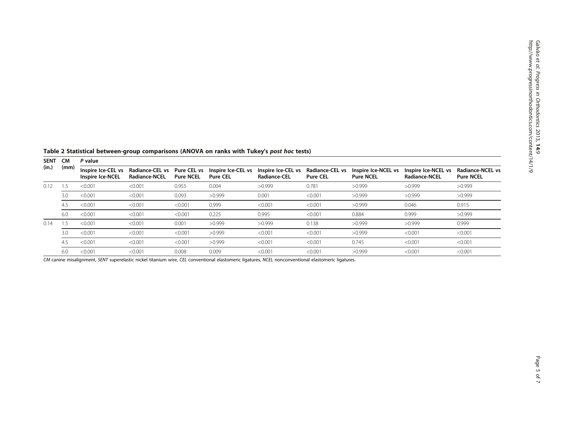<span id="page-4-0"></span>Table 2 Statistical between-group comparisons (ANOVA on ranks with Tukey's post hoc tests)

| <b>SENT</b><br>(in.) | <b>CM</b><br>(mm) | P value                                       |                                                |                                 |                                       |                                    |                                    |                                         |                                             |                                             |  |  |
|----------------------|-------------------|-----------------------------------------------|------------------------------------------------|---------------------------------|---------------------------------------|------------------------------------|------------------------------------|-----------------------------------------|---------------------------------------------|---------------------------------------------|--|--|
|                      |                   | Inspire Ice-CEL vs<br><b>Inspire Ice-NCEL</b> | <b>Radiance-CEL vs</b><br><b>Radiance-NCEL</b> | Pure CEL vs<br><b>Pure NCEL</b> | Inspire Ice-CEL vs<br><b>Pure CEL</b> | Inspire Ice-CEL vs<br>Radiance-CEL | Radiance-CEL vs<br><b>Pure CEL</b> | Inspire Ice-NCEL vs<br><b>Pure NCEL</b> | Inspire Ice-NCEL vs<br><b>Radiance-NCEL</b> | <b>Radiance-NCEL vs</b><br><b>Pure NCEL</b> |  |  |
| 0.12                 | .5                | < 0.001                                       | < 0.001                                        | 0.955                           | 0.004                                 | >0.999                             | 0.781                              | >0.999                                  | >0.999                                      | >0.999                                      |  |  |
|                      | 3.0               | < 0.001                                       | < 0.001                                        | 0.093                           | >0.999                                | 0.001                              | < 0.001                            | >0.999                                  | >0.999                                      | >0.999                                      |  |  |
|                      | 4.5               | < 0.001                                       | < 0.001                                        | < 0.001                         | 0.999                                 | < 0.001                            | < 0.001                            | >0.999                                  | 0.046                                       | 0.915                                       |  |  |
|                      | 6.0               | < 0.001                                       | < 0.001                                        | < 0.001                         | 0.225                                 | 0.995                              | < 0.001                            | 0.884                                   | 0.999                                       | >0.999                                      |  |  |
| 0.14                 | .5                | < 0.001                                       | < 0.001                                        | 0.001                           | >0.999                                | >0.999                             | 0.138                              | >0.999                                  | >0.999                                      | 0.999                                       |  |  |
|                      | 3.0               | < 0.001                                       | < 0.001                                        | < 0.001                         | >0.999                                | < 0.001                            | < 0.001                            | >0.999                                  | < 0.001                                     | < 0.001                                     |  |  |
|                      | 4.5               | < 0.001                                       | < 0.001                                        | < 0.001                         | >0.999                                | < 0.001                            | < 0.001                            | 0.745                                   | < 0.001                                     | < 0.001                                     |  |  |
|                      | 6.0               | < 0.001                                       | < 0.001                                        | 0.008                           | 0.009                                 | < 0.001                            | < 0.001                            | >0.999                                  | < 0.001                                     | < 0.001                                     |  |  |

CM canine misalignment, SENT superelastic nickel titanium wire, CEL conventional elastomeric ligatures, NCEL nonconventional elastomeric ligatures.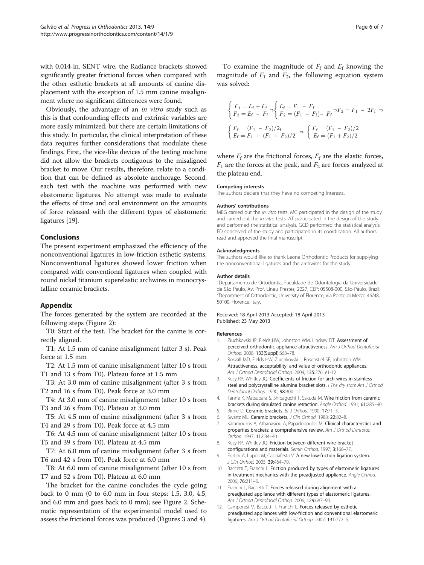<span id="page-5-0"></span>with 0.014-in. SENT wire, the Radiance brackets showed significantly greater frictional forces when compared with the other esthetic brackets at all amounts of canine displacement with the exception of 1.5 mm canine misalignment where no significant differences were found.

Obviously, the advantage of an in vitro study such as this is that confounding effects and extrinsic variables are more easily minimized, but there are certain limitations of this study. In particular, the clinical interpretation of these data requires further considerations that modulate these findings. First, the vice-like devices of the testing machine did not allow the brackets contiguous to the misaligned bracket to move. Our results, therefore, relate to a condition that can be defined as absolute anchorage. Second, each test with the machine was performed with new elastomeric ligatures. No attempt was made to evaluate the effects of time and oral environment on the amounts of force released with the different types of elastomeric ligatures [\[19\]](#page-6-0).

## Conclusions

The present experiment emphasized the efficiency of the nonconventional ligatures in low-friction esthetic systems. Nonconventional ligatures showed lower friction when compared with conventional ligatures when coupled with round nickel titanium superelastic archwires in monocrystalline ceramic brackets.

#### Appendix

The forces generated by the system are recorded at the following steps (Figure [2](#page-2-0)):

T0: Start of the test. The bracket for the canine is correctly aligned.

T1: At 1.5 mm of canine misalignment (after 3 s). Peak force at 1.5 mm

T2: At 1.5 mm of canine misalignment (after 10 s from T1 and 13 s from T0). Plateau force at 1.5 mm

T3: At 3.0 mm of canine misalignment (after 3 s from T2 and 16 s from T0). Peak force at 3.0 mm

T4: At 3.0 mm of canine misalignment (after 10 s from T3 and 26 s from T0). Plateau at 3.0 mm

T5: At 4.5 mm of canine misalignment (after 3 s from T4 and 29 s from T0). Peak force at 4.5 mm

T6: At 4.5 mm of canine misalignment (after 10 s from T5 and 39 s from T0). Plateau at 4.5 mm

T7: At 6.0 mm of canine misalignment (after 3 s from T6 and 42 s from T0). Peak force at 6.0 mm

T8: At 6.0 mm of canine misalignment (after 10 s from T7 and 52 s from T0). Plateau at 6.0 mm

The bracket for the canine concludes the cycle going back to 0 mm (0 to 6.0 mm in four steps: 1.5, 3.0, 4.5, and 6.0 mm and goes back to 0 mm); see Figure [2.](#page-2-0) Schematic representation of the experimental model used to assess the frictional forces was produced (Figures [3](#page-2-0) and [4](#page-2-0)).

To examine the magnitude of  $F_f$  and  $E_f$  knowing the magnitude of  $F_1$  and  $F_2$ , the following equation system was solved:

$$
\begin{cases}\nF_1 = E_f + F_f > \ F_2 = F_1 - F_f \\
F_2 = E_f - F_f > \ F_2 = (F_1 - F_f) - F_f \Rightarrow F_2 = F_1 - 2F_f > \n\end{cases}
$$
\n
$$
\begin{cases}\nF_f = (F_1 - F_2)/2_f \\
E_f = F_1 - (F_1 - F_2)/2\n\end{cases} \Rightarrow \begin{cases}\nF_f = (F_1 - F_2)/2 \\
E_f = (F_1 + F_2)/2\n\end{cases}
$$

where  $F_f$  are the frictional forces,  $E_f$  are the elastic forces,  $F_1$  are the forces at the peak, and  $F_2$  are forces analyzed at the plateau end.

#### Competing interests

The authors declare that they have no competing interests.

#### Authors' contributions

MBG carried out the in vitro tests. MC participated in the design of the study and carried out the in vitro tests. AT participated in the design of the study and performed the statistical analysis. GCD performed the statistical analysis. ED conceived of the study and participated in its coordination. All authors read and approved the final manuscript.

#### Acknowledgments

The authors would like to thank Leone Orthodontic Products for supplying the nonconventional ligatures and the archwires for the study.

#### Author details

1 Departamento de Ortodontia, Faculdade de Odontologia da Universidade de São Paulo, Av. Prof. Lineu Prestes, 2227, CEP: 05508-000, São Paulo, Brazil. <sup>2</sup>Department of Orthodontic, University of Florence, Via Ponte di Mezzo 46/48 50100, Florence, Italy.

#### Received: 18 April 2013 Accepted: 18 April 2013 Published: 23 May 2013

#### References

- 1. Ziuchkovski JP, Fields HW, Johnston WM, Lindsey DT. Assessment of perceived orthodontic appliance attractiveness. Am J Orthod Dentofacial Orthop. 2008; 133(Suppl):S68–78.
- 2. Rosvall MD, Fields HW, Ziuchkovski J, Rosenstiel SF, Johnston WM. Attractiveness, acceptability, and value of orthodontic appliances. Am J Orthod Dentofacial Orthop. 2009; 135:276. e1-12.
- 3. Kusy RP, Whitley JQ. Coefficients of friction for arch wires in stainless steel and polycrystalline alumina bracket slots. I The dry state Am J Orthod Dentofacial Orthop. 1990; 98:300–12.
- 4. Tanne K, Matsubara S, Shibaguchi T, Sakuda M. Wire friction from ceramic brackets during simulated canine retraction. Angle Orthod. 1991; 61:285–90.
- 5. Birnie D. Ceramic brackets. Br J Orthod. 1990; 17:71–5.
- 6. Swartz ML. Ceramic brackets. J Clin Orthod. 1988; 22:82–8.
- 7. Karamouzos A, Athanasiou A, Papadopoulos M. Clinical characteristics and properties brackets: a comprehensive review. Am J Orthod Dentofac Orthop. 1997; 112:34–40.
- 8. Kusy RP, Whitley JQ. Friction between different wire-bracket configurations and materials. Semin Orthod. 1997; 3:166–77.
- 9. Fortini A, Lupoli M, Cacciafesta V. A new low-friction ligation system. J Clin Orthod. 2005; 39:464–70.
- 10. Baccetti T, Franchi L. Friction produced by types of elastomeric ligatures in treatment mechanics with the preadjusted appliance. Angle Orthod. 2006; 76:211–6.
- 11. Franchi L, Baccetti T. Forces released during alignment with a preadjusted appliance with different types of elastomeric ligatures. Am J Orthod Dentofacial Orthop. 2006; 129:687–90.
- 12. Camporesi M, Baccetti T, Franchi L. Forces released by esthetic preadjusted appliances with low-friction and conventional elastomeric ligatures. Am J Orthod Dentofacial Orthop. 2007; 131:772–5.